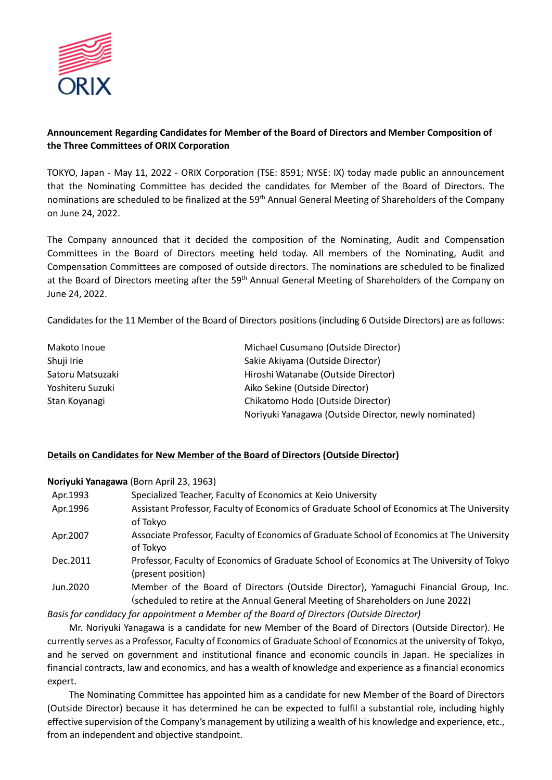

# **Announcement Regarding Candidates for Member of the Board of Directors and Member Composition of the Three Committees of ORIX Corporation**

TOKYO, Japan - May 11, 2022 - ORIX Corporation (TSE: 8591; NYSE: IX) today made public an announcement that the Nominating Committee has decided the candidates for Member of the Board of Directors. The nominations are scheduled to be finalized at the 59<sup>th</sup> Annual General Meeting of Shareholders of the Company on June 24, 2022.

The Company announced that it decided the composition of the Nominating, Audit and Compensation Committees in the Board of Directors meeting held today. All members of the Nominating, Audit and Compensation Committees are composed of outside directors. The nominations are scheduled to be finalized at the Board of Directors meeting after the 59<sup>th</sup> Annual General Meeting of Shareholders of the Company on June 24, 2022.

Candidates for the 11 Member of the Board of Directors positions (including 6 Outside Directors) are as follows:

| Makoto Inoue     | Michael Cusumano (Outside Director)                   |
|------------------|-------------------------------------------------------|
| Shuji Irie       | Sakie Akiyama (Outside Director)                      |
| Satoru Matsuzaki | Hiroshi Watanabe (Outside Director)                   |
| Yoshiteru Suzuki | Aiko Sekine (Outside Director)                        |
| Stan Koyanagi    | Chikatomo Hodo (Outside Director)                     |
|                  | Noriyuki Yanagawa (Outside Director, newly nominated) |

## **Details on Candidates for New Member of the Board of Directors (Outside Director)**

**Noriyuki Yanagawa** (Born April 23, 1963)

| Specialized Teacher, Faculty of Economics at Keio University                                                                                                             |
|--------------------------------------------------------------------------------------------------------------------------------------------------------------------------|
| Assistant Professor, Faculty of Economics of Graduate School of Economics at The University<br>of Tokyo                                                                  |
| Associate Professor, Faculty of Economics of Graduate School of Economics at The University<br>of Tokyo                                                                  |
| Professor, Faculty of Economics of Graduate School of Economics at The University of Tokyo<br>(present position)                                                         |
| Member of the Board of Directors (Outside Director), Yamaguchi Financial Group, Inc.<br>(scheduled to retire at the Annual General Meeting of Shareholders on June 2022) |
|                                                                                                                                                                          |

*Basis for candidacy for appointment a Member of the Board of Directors (Outside Director)*

Mr. Noriyuki Yanagawa is a candidate for new Member of the Board of Directors (Outside Director). He currently serves as a Professor, Faculty of Economics of Graduate School of Economics at the university of Tokyo, and he served on government and institutional finance and economic councils in Japan. He specializes in financial contracts, law and economics, and has a wealth of knowledge and experience as a financial economics expert.

The Nominating Committee has appointed him as a candidate for new Member of the Board of Directors (Outside Director) because it has determined he can be expected to fulfil a substantial role, including highly effective supervision of the Company's management by utilizing a wealth of his knowledge and experience, etc., from an independent and objective standpoint.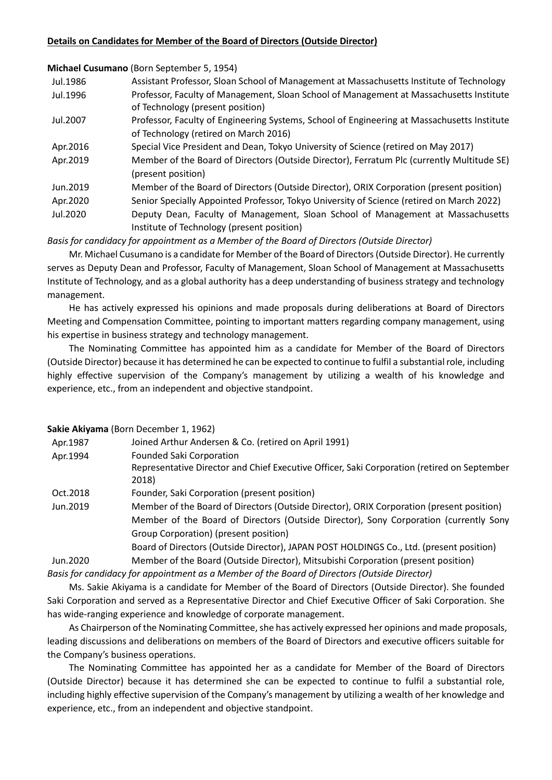## **Details on Candidates for Member of the Board of Directors (Outside Director)**

**Michael Cusumano** (Born September 5, 1954)

| Jul.1986 | Assistant Professor, Sloan School of Management at Massachusetts Institute of Technology |
|----------|------------------------------------------------------------------------------------------|
| Jul.1996 | Professor, Faculty of Management, Sloan School of Management at Massachusetts Institute  |
|          | of Technology (present position)                                                         |

- Jul.2007 Professor, Faculty of Engineering Systems, School of Engineering at Massachusetts Institute of Technology (retired on March 2016)
- Apr.2016 Special Vice President and Dean, Tokyo University of Science (retired on May 2017)
- Apr.2019 Member of the Board of Directors (Outside Director), Ferratum Plc (currently Multitude SE) (present position)
- Jun.2019 Member of the Board of Directors (Outside Director), ORIX Corporation (present position)
- Apr.2020 Senior Specially Appointed Professor, Tokyo University of Science (retired on March 2022)
- Jul.2020 Deputy Dean, Faculty of Management, Sloan School of Management at Massachusetts Institute of Technology (present position)

*Basis for candidacy for appointment as a Member of the Board of Directors (Outside Director)*

Mr. Michael Cusumano is a candidate for Member of the Board of Directors (Outside Director). He currently serves as Deputy Dean and Professor, Faculty of Management, Sloan School of Management at Massachusetts Institute of Technology, and as a global authority has a deep understanding of business strategy and technology management.

He has actively expressed his opinions and made proposals during deliberations at Board of Directors Meeting and Compensation Committee, pointing to important matters regarding company management, using his expertise in business strategy and technology management.

The Nominating Committee has appointed him as a candidate for Member of the Board of Directors (Outside Director) because it has determined he can be expected to continue to fulfil a substantial role, including highly effective supervision of the Company's management by utilizing a wealth of his knowledge and experience, etc., from an independent and objective standpoint.

## **Sakie Akiyama** (Born December 1, 1962)

| Apr.1987 | Joined Arthur Andersen & Co. (retired on April 1991)                                                 |
|----------|------------------------------------------------------------------------------------------------------|
| Apr.1994 | <b>Founded Saki Corporation</b>                                                                      |
|          | Representative Director and Chief Executive Officer, Saki Corporation (retired on September<br>2018) |
| Oct.2018 | Founder, Saki Corporation (present position)                                                         |
| Jun.2019 | Member of the Board of Directors (Outside Director), ORIX Corporation (present position)             |
|          | Member of the Board of Directors (Outside Director), Sony Corporation (currently Sony                |
|          | Group Corporation) (present position)                                                                |
|          | Board of Directors (Outside Director), JAPAN POST HOLDINGS Co., Ltd. (present position)              |

Jun.2020 Member of the Board (Outside Director), Mitsubishi Corporation (present position) *Basis for candidacy for appointment as a Member of the Board of Directors (Outside Director)*

Ms. Sakie Akiyama is a candidate for Member of the Board of Directors (Outside Director). She founded Saki Corporation and served as a Representative Director and Chief Executive Officer of Saki Corporation. She has wide-ranging experience and knowledge of corporate management.

As Chairperson of the Nominating Committee, she has actively expressed her opinions and made proposals, leading discussions and deliberations on members of the Board of Directors and executive officers suitable for the Company's business operations.

The Nominating Committee has appointed her as a candidate for Member of the Board of Directors (Outside Director) because it has determined she can be expected to continue to fulfil a substantial role, including highly effective supervision of the Company's management by utilizing a wealth of her knowledge and experience, etc., from an independent and objective standpoint.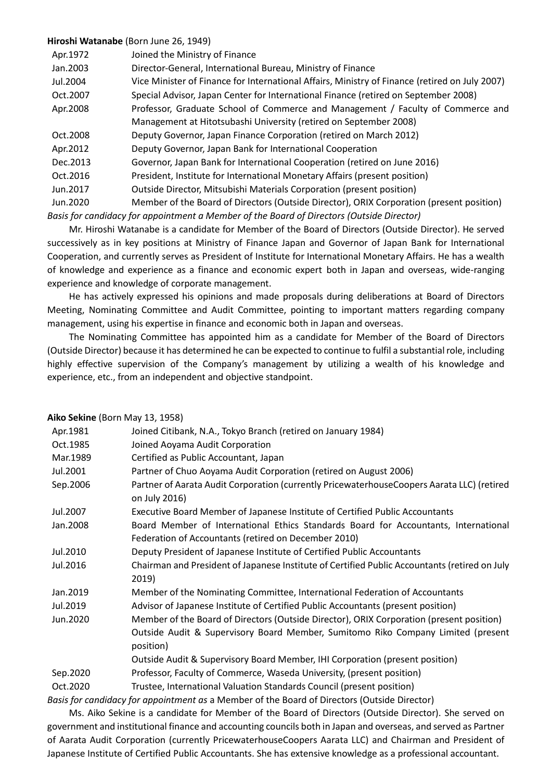## **Hiroshi Watanabe** (Born June 26, 1949)

| Apr.1972  | Joined the Ministry of Finance                                                                 |
|-----------|------------------------------------------------------------------------------------------------|
| Jan. 2003 | Director-General, International Bureau, Ministry of Finance                                    |
| Jul.2004  | Vice Minister of Finance for International Affairs, Ministry of Finance (retired on July 2007) |
| Oct.2007  | Special Advisor, Japan Center for International Finance (retired on September 2008)            |
| Apr.2008  | Professor, Graduate School of Commerce and Management / Faculty of Commerce and                |
|           | Management at Hitotsubashi University (retired on September 2008)                              |
| Oct.2008  | Deputy Governor, Japan Finance Corporation (retired on March 2012)                             |
| Apr. 2012 | Deputy Governor, Japan Bank for International Cooperation                                      |
| Dec.2013  | Governor, Japan Bank for International Cooperation (retired on June 2016)                      |
| Oct.2016  | President, Institute for International Monetary Affairs (present position)                     |
| Jun.2017  | Outside Director, Mitsubishi Materials Corporation (present position)                          |
| Jun.2020  | Member of the Board of Directors (Outside Director), ORIX Corporation (present position)       |
|           |                                                                                                |

*Basis for candidacy for appointment a Member of the Board of Directors (Outside Director)*

Mr. Hiroshi Watanabe is a candidate for Member of the Board of Directors (Outside Director). He served successively as in key positions at Ministry of Finance Japan and Governor of Japan Bank for International Cooperation, and currently serves as President of Institute for International Monetary Affairs. He has a wealth of knowledge and experience as a finance and economic expert both in Japan and overseas, wide-ranging experience and knowledge of corporate management.

He has actively expressed his opinions and made proposals during deliberations at Board of Directors Meeting, Nominating Committee and Audit Committee, pointing to important matters regarding company management, using his expertise in finance and economic both in Japan and overseas.

The Nominating Committee has appointed him as a candidate for Member of the Board of Directors (Outside Director) because it has determined he can be expected to continue to fulfil a substantial role, including highly effective supervision of the Company's management by utilizing a wealth of his knowledge and experience, etc., from an independent and objective standpoint.

| Aiko Sekine (Born May 13, 1958) |                                                                                                             |
|---------------------------------|-------------------------------------------------------------------------------------------------------------|
| Apr.1981                        | Joined Citibank, N.A., Tokyo Branch (retired on January 1984)                                               |
| Oct.1985                        | Joined Aoyama Audit Corporation                                                                             |
| Mar.1989                        | Certified as Public Accountant, Japan                                                                       |
| Jul.2001                        | Partner of Chuo Aoyama Audit Corporation (retired on August 2006)                                           |
| Sep.2006                        | Partner of Aarata Audit Corporation (currently PricewaterhouseCoopers Aarata LLC) (retired<br>on July 2016) |
| Jul.2007                        | Executive Board Member of Japanese Institute of Certified Public Accountants                                |
| Jan.2008                        | Board Member of International Ethics Standards Board for Accountants, International                         |
|                                 | Federation of Accountants (retired on December 2010)                                                        |
| Jul.2010                        | Deputy President of Japanese Institute of Certified Public Accountants                                      |
| Jul.2016                        | Chairman and President of Japanese Institute of Certified Public Accountants (retired on July<br>2019)      |
| Jan.2019                        | Member of the Nominating Committee, International Federation of Accountants                                 |
| Jul.2019                        | Advisor of Japanese Institute of Certified Public Accountants (present position)                            |
| Jun.2020                        | Member of the Board of Directors (Outside Director), ORIX Corporation (present position)                    |
|                                 | Outside Audit & Supervisory Board Member, Sumitomo Riko Company Limited (present<br>position)               |
|                                 | Outside Audit & Supervisory Board Member, IHI Corporation (present position)                                |
| Sep.2020                        | Professor, Faculty of Commerce, Waseda University, (present position)                                       |
| Oct.2020                        | Trustee, International Valuation Standards Council (present position)                                       |
|                                 | Basis for candidacy for appointment as a Member of the Board of Directors (Outside Director)                |

Ms. Aiko Sekine is a candidate for Member of the Board of Directors (Outside Director). She served on government and institutional finance and accounting councils both in Japan and overseas, and served as Partner of Aarata Audit Corporation (currently PricewaterhouseCoopers Aarata LLC) and Chairman and President of Japanese Institute of Certified Public Accountants. She has extensive knowledge as a professional accountant.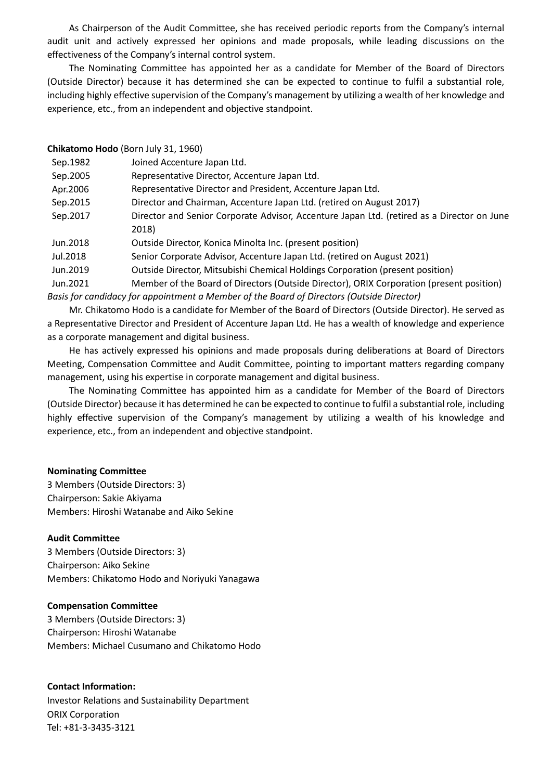As Chairperson of the Audit Committee, she has received periodic reports from the Company's internal audit unit and actively expressed her opinions and made proposals, while leading discussions on the effectiveness of the Company's internal control system.

The Nominating Committee has appointed her as a candidate for Member of the Board of Directors (Outside Director) because it has determined she can be expected to continue to fulfil a substantial role, including highly effective supervision of the Company's management by utilizing a wealth of her knowledge and experience, etc., from an independent and objective standpoint.

| Chikatomo Hodo (Born July 31, 1960)                                                       |                                                                                            |
|-------------------------------------------------------------------------------------------|--------------------------------------------------------------------------------------------|
| Sep.1982                                                                                  | Joined Accenture Japan Ltd.                                                                |
| Sep.2005                                                                                  | Representative Director, Accenture Japan Ltd.                                              |
| Apr. 2006                                                                                 | Representative Director and President, Accenture Japan Ltd.                                |
| Sep.2015                                                                                  | Director and Chairman, Accenture Japan Ltd. (retired on August 2017)                       |
| Sep.2017                                                                                  | Director and Senior Corporate Advisor, Accenture Japan Ltd. (retired as a Director on June |
|                                                                                           | 2018)                                                                                      |
| Jun.2018                                                                                  | Outside Director, Konica Minolta Inc. (present position)                                   |
| Jul.2018                                                                                  | Senior Corporate Advisor, Accenture Japan Ltd. (retired on August 2021)                    |
| Jun.2019                                                                                  | Outside Director, Mitsubishi Chemical Holdings Corporation (present position)              |
| Jun.2021                                                                                  | Member of the Board of Directors (Outside Director), ORIX Corporation (present position)   |
| Basis for candidacy for appointment a Member of the Board of Directors (Outside Director) |                                                                                            |

Mr. Chikatomo Hodo is a candidate for Member of the Board of Directors (Outside Director). He served as a Representative Director and President of Accenture Japan Ltd. He has a wealth of knowledge and experience as a corporate management and digital business.

He has actively expressed his opinions and made proposals during deliberations at Board of Directors Meeting, Compensation Committee and Audit Committee, pointing to important matters regarding company management, using his expertise in corporate management and digital business.

The Nominating Committee has appointed him as a candidate for Member of the Board of Directors (Outside Director) because it has determined he can be expected to continue to fulfil a substantial role, including highly effective supervision of the Company's management by utilizing a wealth of his knowledge and experience, etc., from an independent and objective standpoint.

## **Nominating Committee**

3 Members (Outside Directors: 3) Chairperson: Sakie Akiyama Members: Hiroshi Watanabe and Aiko Sekine

#### **Audit Committee**

3 Members (Outside Directors: 3) Chairperson: Aiko Sekine Members: Chikatomo Hodo and Noriyuki Yanagawa

#### **Compensation Committee**

3 Members (Outside Directors: 3) Chairperson: Hiroshi Watanabe Members: Michael Cusumano and Chikatomo Hodo

## **Contact Information:**

Investor Relations and Sustainability Department ORIX Corporation Tel: +81-3-3435-3121